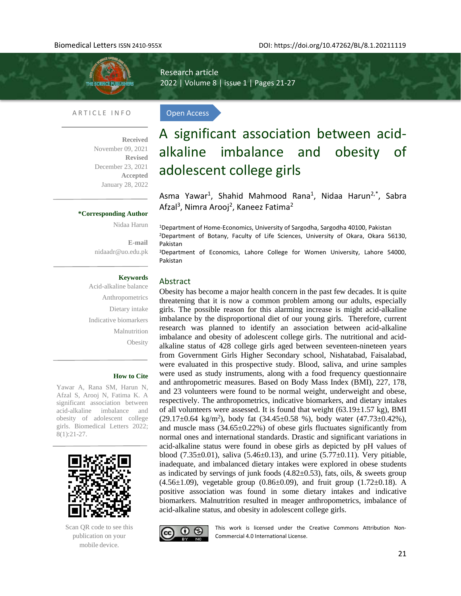

Research article 2022 | Volume 8 | issue 1 | Pages 21-27

Open Access

#### ARTICLE INFO

l,

**Received**  November 09, 2021 **Revised**  December 23, 2021 **Accepted** January 28, 2022

# A significant association between acidalkaline imbalance and obesity of adolescent college girls

Asma Yawar<sup>1</sup>, Shahid Mahmood Rana<sup>1</sup>, Nidaa Harun<sup>2,\*</sup>, Sabra Afzal<sup>3</sup>, Nimra Arooj<sup>2</sup>, Kaneez Fatima<sup>2</sup>

**\*Corresponding Author** 

Nidaa Harun

**E-mail** [nidaadr@uo.edu.pk](mailto:nidaadr@uo.edu.pk) <sup>1</sup>Department of Home-Economics, University of Sargodha, Sargodha 40100, Pakistan

<sup>2</sup>Department of Botany, Faculty of Life Sciences, University of Okara, Okara 56130, Pakistan

<sup>3</sup>Department of Economics, Lahore College for Women University, Lahore 54000, Pakistan

# **Keywords**

Acid-alkaline balance Anthropometrics Dietary intake Indicative biomarkers Malnutrition **Obesity** 

#### **How to Cite**

Yawar A, Rana SM, Harun N, Afzal S, Arooj N, Fatima K. A significant association between acid-alkaline imbalance and obesity of adolescent college girls. Biomedical Letters 2022; 8(1):21-27.



Scan QR code to see this publication on your mobile device.

Abstract

Obesity has become a major health concern in the past few decades. It is quite threatening that it is now a common problem among our adults, especially girls. The possible reason for this alarming increase is might acid-alkaline imbalance by the disproportional diet of our young girls. Therefore, current research was planned to identify an association between acid-alkaline imbalance and obesity of adolescent college girls. The nutritional and acidalkaline status of 428 college girls aged between seventeen-nineteen years from Government Girls Higher Secondary school, Nishatabad, Faisalabad, were evaluated in this prospective study. Blood, saliva, and urine samples were used as study instruments, along with a food frequency questionnaire and anthropometric measures. Based on Body Mass Index (BMI), 227, 178, and 23 volunteers were found to be normal weight, underweight and obese, respectively. The anthropometrics, indicative biomarkers, and dietary intakes of all volunteers were assessed. It is found that weight  $(63.19 \pm 1.57 \text{ kg})$ , BMI  $(29.17 \pm 0.64 \text{ kg/m}^2)$ , body fat  $(34.45 \pm 0.58 \text{ %})$ , body water  $(47.73 \pm 0.42 \text{ %})$ , and muscle mass  $(34.65 \pm 0.22\%)$  of obese girls fluctuates significantly from normal ones and international standards. Drastic and significant variations in acid-alkaline status were found in obese girls as depicted by pH values of blood (7.35 $\pm$ 0.01), saliva (5.46 $\pm$ 0.13), and urine (5.77 $\pm$ 0.11). Very pitiable, inadequate, and imbalanced dietary intakes were explored in obese students as indicated by servings of junk foods  $(4.82\pm0.53)$ , fats, oils, & sweets group  $(4.56\pm1.09)$ , vegetable group  $(0.86\pm0.09)$ , and fruit group  $(1.72\pm0.18)$ . A positive association was found in some dietary intakes and indicative biomarkers. Malnutrition resulted in meager anthropometrics, imbalance of acid-alkaline status, and obesity in adolescent college girls.



This work is licensed under the Creative Commons Attribution Non-Commercial 4.0 International License.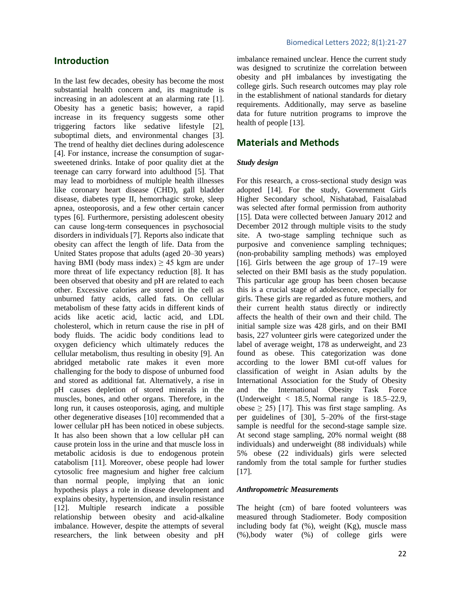# **Introduction**

In the last few decades, obesity has become the most substantial health concern and, its magnitude is increasing in an adolescent at an alarming rate [1]. Obesity has a genetic basis; however, a rapid increase in its frequency suggests some other triggering factors like sedative lifestyle [2], suboptimal diets, and environmental changes [3]. The trend of healthy diet declines during adolescence [4]. For instance, increase the consumption of sugarsweetened drinks. Intake of poor quality diet at the teenage can carry forward into adulthood [5]. That may lead to morbidness of multiple health illnesses like coronary heart disease (CHD), gall bladder disease, diabetes type II, hemorrhagic stroke, sleep apnea, osteoporosis, and a few other certain cancer types [6]. Furthermore, persisting adolescent obesity can cause long-term consequences in psychosocial disorders in individuals [7]. Reports also indicate that obesity can affect the length of life. Data from the United States propose that adults (aged 20–30 years) having BMI (body mass index)  $\geq$  45 kgm are under more threat of life expectancy reduction [8]. It has been observed that obesity and pH are related to each other. Excessive calories are stored in the cell as unburned fatty acids, called fats. On cellular metabolism of these fatty acids in different kinds of acids like acetic acid, lactic acid, and LDL cholesterol, which in return cause the rise in pH of body fluids. The acidic body conditions lead to oxygen deficiency which ultimately reduces the cellular metabolism, thus resulting in obesity [9]. An abridged metabolic rate makes it even more challenging for the body to dispose of unburned food and stored as additional fat. Alternatively, a rise in pH causes depletion of stored minerals in the muscles, bones, and other organs. Therefore, in the long run, it causes osteoporosis, aging, and multiple other degenerative diseases [10] recommended that a lower cellular pH has been noticed in obese subjects. It has also been shown that a low cellular pH can cause protein loss in the urine and that muscle loss in metabolic acidosis is due to endogenous protein catabolism [11]. Moreover, obese people had lower cytosolic free magnesium and higher free calcium than normal people, implying that an ionic hypothesis plays a role in disease development and explains obesity, hypertension, and insulin resistance [12]. Multiple research indicate a possible relationship between obesity and acid-alkaline imbalance. However, despite the attempts of several researchers, the link between obesity and pH

imbalance remained unclear. Hence the current study was designed to scrutinize the correlation between obesity and pH imbalances by investigating the college girls. Such research outcomes may play role in the establishment of national standards for dietary requirements. Additionally, may serve as baseline data for future nutrition programs to improve the health of people [13].

# **Materials and Methods**

#### *Study design*

For this research, a cross-sectional study design was adopted [14]. For the study, Government Girls Higher Secondary school, Nishatabad, Faisalabad was selected after formal permission from authority [15]. Data were collected between January 2012 and December 2012 through multiple visits to the study site. A two-stage sampling technique such as purposive and convenience sampling techniques; (non-probability sampling methods) was employed [16]. Girls between the age group of 17–19 were selected on their BMI basis as the study population. This particular age group has been chosen because this is a crucial stage of adolescence, especially for girls. These girls are regarded as future mothers, and their current health status directly or indirectly affects the health of their own and their child. The initial sample size was 428 girls, and on their BMI basis, 227 volunteer girls were categorized under the label of average weight, 178 as underweight, and 23 found as obese. This categorization was done according to the lower BMI cut-off values for classification of weight in Asian adults by the International Association for the Study of Obesity and the International Obesity Task Force (Underweight < 18.5*,* Normal range is 18.5–22.9, obese  $\geq$  25) [17]. This was first stage sampling. As per guidelines of [30], 5–20% of the first-stage sample is needful for the second-stage sample size. At second stage sampling, 20% normal weight (88 individuals) and underweight (88 individuals) while 5% obese (22 individuals) girls were selected randomly from the total sample for further studies [17].

#### *Anthropometric Measurements*

The height (cm) of bare footed volunteers was measured through Stadiometer. Body composition including body fat  $(\%)$ , weight  $(Kg)$ , muscle mass (%),body water (%) of college girls were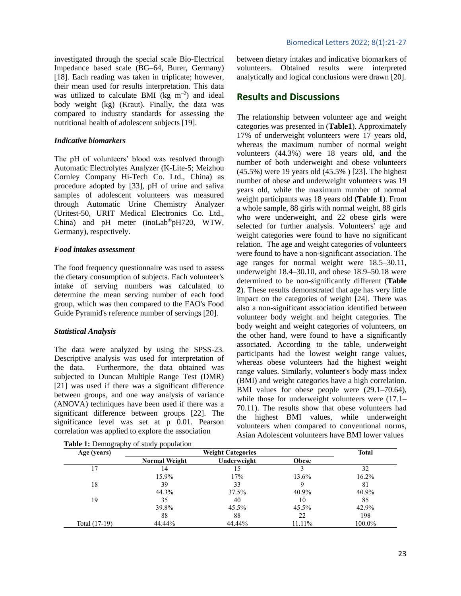investigated through the special scale Bio-Electrical Impedance based scale (BG–64, Burer, Germany) [\[18\]](#page-5-0). Each reading was taken in triplicate; however, their mean used for results interpretation. This data was utilized to calculate BMI ( $kg \text{ m}^{-2}$ ) and ideal body weight (kg) (Kraut). Finally, the data was compared to industry standards for assessing the nutritional health of adolescent subjects [\[19\]](#page-5-1).

#### *Indicative biomarkers*

The pH of volunteers' blood was resolved through Automatic Electrolytes Analyzer (K-Lite-5; Meizhou Cornley Company Hi-Tech Co. Ltd., China) as procedure adopted by [33], pH of urine and saliva samples of adolescent volunteers was measured through Automatic Urine Chemistry Analyzer (Uritest-50, URIT Medical Electronics Co. Ltd., China) and pH meter (inoLab®pH720, WTW, Germany), respectively.

#### *Food intakes assessment*

The food frequency questionnaire was used to assess the dietary consumption of subjects. Each volunteer's intake of serving numbers was calculated to determine the mean serving number of each food group, which was then compared to the FAO's Food Guide Pyramid's reference number of servings [\[20\]](#page-5-2).

#### *Statistical Analysis*

The data were analyzed by using the SPSS-23. Descriptive analysis was used for interpretation of the data. Furthermore, the data obtained was subjected to Duncan Multiple Range Test (DMR) [\[21\]](#page-5-3) was used if there was a significant difference between groups, and one way analysis of variance (ANOVA) techniques have been used if there was a significant difference between groups [\[22\]](#page-5-4). The significance level was set at p 0.01. Pearson correlation was applied to explore the association

**Table 1:** Demography of study population

between dietary intakes and indicative biomarkers of volunteers. Obtained results were interpreted analytically and logical conclusions were drawn [\[20\]](#page-5-2).

### **Results and Discussions**

The relationship between volunteer age and weight categories was presented in (**Table1**). Approximately 17% of underweight volunteers were 17 years old, whereas the maximum number of normal weight volunteers (44.3%) were 18 years old, and the number of both underweight and obese volunteers (45.5%) were 19 years old (45.5% ) [\[23\]](#page-5-5). The highest number of obese and underweight volunteers was 19 years old, while the maximum number of normal weight participants was 18 years old (**Table 1**). From a whole sample, 88 girls with normal weight, 88 girls who were underweight, and 22 obese girls were selected for further analysis. Volunteers' age and weight categories were found to have no significant relation. The age and weight categories of volunteers were found to have a non-significant association. The age ranges for normal weight were 18.5–30.11, underweight 18.4–30.10, and obese 18.9–50.18 were determined to be non-significantly different (**Table 2**). These results demonstrated that age has very little impact on the categories of weight [\[24\]](#page-5-6). There was also a non-significant association identified between volunteer body weight and height categories. The body weight and weight categories of volunteers, on the other hand, were found to have a significantly associated. According to the table, underweight participants had the lowest weight range values, whereas obese volunteers had the highest weight range values. Similarly, volunteer's body mass index (BMI) and weight categories have a high correlation. BMI values for obese people were (29.1–70.64), while those for underweight volunteers were  $(17.1-$ 70.11). The results show that obese volunteers had the highest BMI values, while underweight volunteers when compared to conventional norms, Asian Adolescent volunteers have BMI lower values

| Age (years)   |                      | <b>Total</b> |              |        |
|---------------|----------------------|--------------|--------------|--------|
|               | <b>Normal Weight</b> | Underweight  | <b>Obese</b> |        |
|               | 14                   |              |              | 32     |
|               | 15.9%                | 17%          | 13.6%        | 16.2%  |
| 18            | 39                   | 33           |              | 81     |
|               | 44.3%                | 37.5%        | 40.9%        | 40.9%  |
| 19            | 35                   | 40           | 10           | 85     |
|               | 39.8%                | 45.5%        | 45.5%        | 42.9%  |
|               | 88                   | 88           | 22           | 198    |
| Total (17-19) | 44.44%               | 44.44%       | 11.11%       | 100.0% |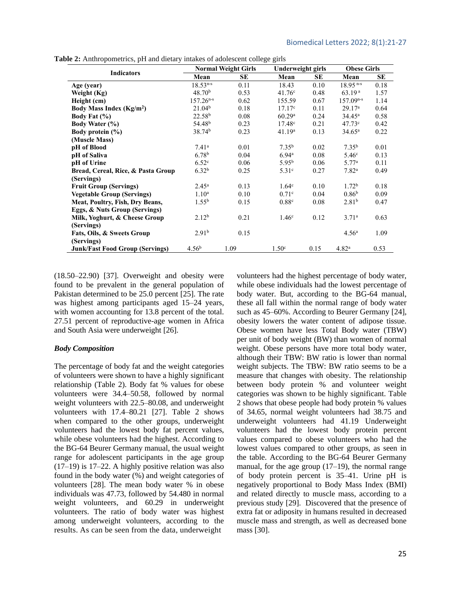|                                        |                    | <b>Normal Weight Girls</b> |                    | <b>Underweight girls</b> |                    | <b>Obese Girls</b> |  |
|----------------------------------------|--------------------|----------------------------|--------------------|--------------------------|--------------------|--------------------|--|
| <b>Indicators</b>                      | Mean               | <b>SE</b>                  | Mean               | <b>SE</b>                | Mean               | SE                 |  |
| Age (year)                             | $18.53^{n-s}$      | 0.11                       | 18.43              | 0.10                     | $18.95^{n-s}$      | 0.18               |  |
| Weight (Kg)                            | 48.70 <sup>b</sup> | 0.53                       | 41.76c             | 0.48                     | 63.19 <sup>a</sup> | 1.57               |  |
| Height (cm)                            | $157.26^{n-s}$     | 0.62                       | 155.59             | 0.67                     | $157.09^{n-s}$     | 1.14               |  |
| Body Mass Index $(Kg/m2)$              | 21.04 <sup>b</sup> | 0.18                       | 17.17c             | 0.11                     | 29.17 <sup>a</sup> | 0.64               |  |
| Body Fat (%)                           | 22.58 <sup>b</sup> | 0.08                       | 60.29a             | 0.24                     | $34.45^{\rm a}$    | 0.58               |  |
| <b>Body Water (%)</b>                  | 54.48 <sup>b</sup> | 0.23                       | 17.48c             | 0.21                     | 47.73c             | 0.42               |  |
| Body protein $(\% )$                   | 38.74 <sup>b</sup> | 0.23                       | 41.19 <sup>a</sup> | 0.13                     | $34.65^{\rm a}$    | 0.22               |  |
| (Muscle Mass)                          |                    |                            |                    |                          |                    |                    |  |
| pH of Blood                            | 7.41 <sup>a</sup>  | 0.01                       | 7.35 <sup>b</sup>  | 0.02                     | $7.35^{b}$         | 0.01               |  |
| pH of Saliva                           | 6.78 <sup>b</sup>  | 0.04                       | 6.94 <sup>a</sup>  | 0.08                     | 5.46 <sup>c</sup>  | 0.13               |  |
| pH of Urine                            | 6.52 <sup>c</sup>  | 0.06                       | 5.95 <sup>b</sup>  | 0.06                     | 5.77 <sup>a</sup>  | 0.11               |  |
| Bread, Cereal, Rice, & Pasta Group     | 6.32 <sup>b</sup>  | 0.25                       | 5.31 <sup>c</sup>  | 0.27                     | 7.82 <sup>a</sup>  | 0.49               |  |
| (Servings)                             |                    |                            |                    |                          |                    |                    |  |
| <b>Fruit Group (Servings)</b>          | $2.45^{\rm a}$     | 0.13                       | 1.64 <sup>c</sup>  | 0.10                     | 1.72 <sup>b</sup>  | 0.18               |  |
| <b>Vegetable Group (Servings)</b>      | 1.10 <sup>a</sup>  | 0.10                       | 0.71 <sup>c</sup>  | 0.04                     | 0.86 <sup>b</sup>  | 0.09               |  |
| Meat, Poultry, Fish, Dry Beans,        | $1.55^{b}$         | 0.15                       | 0.88c              | 0.08                     | 2.81 <sup>b</sup>  | 0.47               |  |
| Eggs, & Nuts Group (Servings)          |                    |                            |                    |                          |                    |                    |  |
| Milk, Yoghurt, & Cheese Group          | 2.12 <sup>b</sup>  | 0.21                       | 1.46 <sup>c</sup>  | 0.12                     | 3.71 <sup>a</sup>  | 0.63               |  |
| (Servings)                             |                    |                            |                    |                          |                    |                    |  |
| Fats, Oils, & Sweets Group             | 2.91 <sup>b</sup>  | 0.15                       |                    |                          | 4.56 <sup>a</sup>  | 1.09               |  |
| (Servings)                             |                    |                            |                    |                          |                    |                    |  |
| <b>Junk/Fast Food Group (Servings)</b> | 4.56 <sup>b</sup>  | 1.09                       | 1.50 <sup>c</sup>  | 0.15                     | 4.82 <sup>a</sup>  | 0.53               |  |

**Table 2:** Anthropometrics, pH and dietary intakes of adolescent college girls

(18.50–22.90) [37]. Overweight and obesity were found to be prevalent in the general population of Pakistan determined to be 25.0 percent [\[25\]](#page-5-7). The rate was highest among participants aged 15–24 years, with women accounting for 13.8 percent of the total. 27.51 percent of reproductive-age women in Africa and South Asia were underweight [\[26\]](#page-5-8).

#### *Body Composition*

The percentage of body fat and the weight categories of volunteers were shown to have a highly significant relationship (Table 2). Body fat % values for obese volunteers were 34.4–50.58, followed by normal weight volunteers with 22.5–80.08, and underweight volunteers with 17.4–80.21 [\[27\]](#page-5-9). Table 2 shows when compared to the other groups, underweight volunteers had the lowest body fat percent values, while obese volunteers had the highest. According to the BG-64 Beurer Germany manual, the usual weight range for adolescent participants in the age group (17–19) is 17–22. A highly positive relation was also found in the body water (%) and weight categories of volunteers [\[28\]](#page-5-10). The mean body water % in obese individuals was 47.73, followed by 54.480 in normal weight volunteers, and 60.29 in underweight volunteers. The ratio of body water was highest among underweight volunteers, according to the results. As can be seen from the data, underweight

volunteers had the highest percentage of body water, while obese individuals had the lowest percentage of body water. But, according to the BG-64 manual, these all fall within the normal range of body water such as 45–60%. According to Beurer Germany [\[24\]](#page-5-6), obesity lowers the water content of adipose tissue. Obese women have less Total Body water (TBW) per unit of body weight (BW) than women of normal weight. Obese persons have more total body water, although their TBW: BW ratio is lower than normal weight subjects. The TBW: BW ratio seems to be a measure that changes with obesity. The relationship between body protein % and volunteer weight categories was shown to be highly significant. Table 2 shows that obese people had body protein % values of 34.65, normal weight volunteers had 38.75 and underweight volunteers had 41.19 Underweight volunteers had the lowest body protein percent values compared to obese volunteers who had the lowest values compared to other groups, as seen in the table. According to the BG-64 Beurer Germany manual, for the age group (17–19), the normal range of body protein percent is 35–41. Urine pH is negatively proportional to Body Mass Index (BMI) and related directly to muscle mass, according to a previous study [\[29\]](#page-5-11). Discovered that the presence of extra fat or adiposity in humans resulted in decreased muscle mass and strength, as well as decreased bone mass [\[30\]](#page-5-12).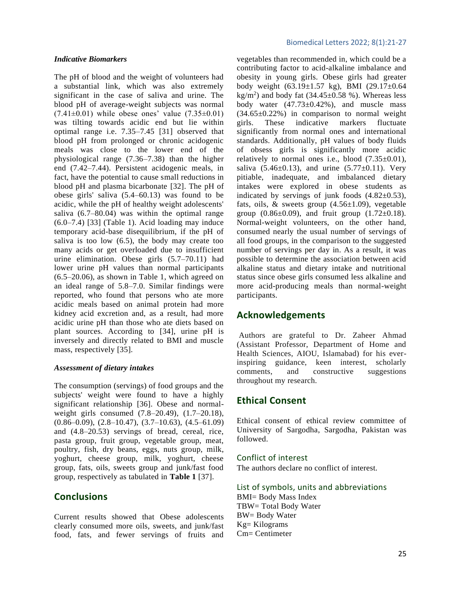#### *Indicative Biomarkers*

The pH of blood and the weight of volunteers had a substantial link, which was also extremely significant in the case of saliva and urine. The blood pH of average-weight subjects was normal  $(7.41\pm0.01)$  while obese ones' value  $(7.35\pm0.01)$ was tilting towards acidic end but lie within optimal range i.e. 7.35–7.45 [\[31\]](#page-5-13) observed that blood pH from prolonged or chronic acidogenic meals was close to the lower end of the physiological range (7.36–7.38) than the higher end (7.42–7.44). Persistent acidogenic meals, in fact, have the potential to cause small reductions in blood pH and plasma bicarbonate [\[32\]](#page-5-14). The pH of obese girls' saliva (5.4–60.13) was found to be acidic, while the pH of healthy weight adolescents' saliva (6.7–80.04) was within the optimal range (6.0–7.4) [\[33\]](#page-6-0) (Table 1). Acid loading may induce temporary acid-base disequilibrium, if the pH of saliva is too low (6.5), the body may create too many acids or get overloaded due to insufficient urine elimination. Obese girls (5.7–70.11) had lower urine pH values than normal participants (6.5–20.06), as shown in Table 1, which agreed on an ideal range of 5.8–7.0. Similar findings were reported, who found that persons who ate more acidic meals based on animal protein had more kidney acid excretion and, as a result, had more acidic urine pH than those who ate diets based on plant sources. According to [\[34\]](#page-6-1), urine pH is inversely and directly related to BMI and muscle mass, respectively [\[35\]](#page-6-2).

#### *Assessment of dietary intakes*

The consumption (servings) of food groups and the subjects' weight were found to have a highly significant relationship [\[36\]](#page-6-3). Obese and normalweight girls consumed (7.8–20.49), (1.7–20.18),  $(0.86-0.09)$ ,  $(2.8-10.47)$ ,  $(3.7-10.63)$ ,  $(4.5-61.09)$ and (4.8–20.53) servings of bread, cereal, rice, pasta group, fruit group, vegetable group, meat, poultry, fish, dry beans, eggs, nuts group, milk, yoghurt, cheese group, milk, yoghurt, cheese group, fats, oils, sweets group and junk/fast food group, respectively as tabulated in **Table 1** [\[37\]](#page-6-4).

# **Conclusions**

Current results showed that Obese adolescents clearly consumed more oils, sweets, and junk/fast food, fats, and fewer servings of fruits and

#### Biomedical Letters 2022; 8(1):21-27

vegetables than recommended in, which could be a contributing factor to acid-alkaline imbalance and obesity in young girls. Obese girls had greater body weight (63.19±1.57 kg), BMI (29.17±0.64  $kg/m<sup>2</sup>$ ) and body fat (34.45 $\pm$ 0.58 %). Whereas less body water  $(47.73\pm0.42\%)$ , and muscle mass  $(34.65\pm0.22\%)$  in comparison to normal weight girls. These indicative markers fluctuate significantly from normal ones and international standards. Additionally, pH values of body fluids of obsess girls is significantly more acidic relatively to normal ones i.e., blood  $(7.35\pm0.01)$ , saliva  $(5.46\pm0.13)$ , and urine  $(5.77\pm0.11)$ . Very pitiable, inadequate, and imbalanced dietary intakes were explored in obese students as indicated by servings of junk foods  $(4.82\pm0.53)$ , fats, oils,  $\&$  sweets group (4.56 $\pm$ 1.09), vegetable group  $(0.86\pm0.09)$ , and fruit group  $(1.72\pm0.18)$ . Normal-weight volunteers, on the other hand, consumed nearly the usual number of servings of all food groups, in the comparison to the suggested number of servings per day in. As a result, it was possible to determine the association between acid alkaline status and dietary intake and nutritional status since obese girls consumed less alkaline and more acid-producing meals than normal-weight participants.

# **Acknowledgements**

Authors are grateful to Dr. Zaheer Ahmad (Assistant Professor, Department of Home and Health Sciences, AIOU, Islamabad) for his everinspiring guidance, keen interest, scholarly comments, and constructive suggestions throughout my research.

# **Ethical Consent**

Ethical consent of ethical review committee of University of Sargodha, Sargodha, Pakistan was followed.

### Conflict of interest

The authors declare no conflict of interest.

List of symbols, units and abbreviations BMI= Body Mass Index TBW= Total Body Water BW= Body Water Kg= Kilograms Cm= Centimeter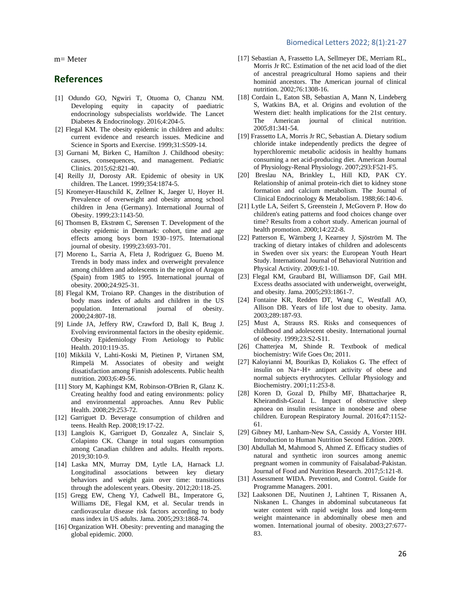#### Biomedical Letters 2022; 8(1):21-27

m= Meter

# **References**

- [1] Odundo GO, Ngwiri T, Otuoma O, Chanzu NM. Developing equity in capacity of paediatric endocrinology subspecialists worldwide. The Lancet Diabetes & Endocrinology. 2016;4:204-5.
- [2] Flegal KM. The obesity epidemic in children and adults: current evidence and research issues. Medicine and Science in Sports and Exercise. 1999;31:S509-14.
- [3] Gurnani M, Birken C, Hamilton J. Childhood obesity: causes, consequences, and management. Pediatric Clinics. 2015;62:821-40.
- [4] Reilly JJ, Dorosty AR. Epidemic of obesity in UK children. The Lancet. 1999;354:1874-5.
- [5] Kromeyer-Hauschild K, Zellner K, Jaeger U, Hoyer H. Prevalence of overweight and obesity among school children in Jena (Germany). International Journal of Obesity. 1999;23:1143-50.
- [6] Thomsen B, Ekstrøm C, Sørensen T. Development of the obesity epidemic in Denmark: cohort, time and age effects among boys born 1930–1975. International journal of obesity. 1999;23:693-701.
- [7] Moreno L, Sarria A, Fleta J, Rodriguez G, Bueno M. Trends in body mass index and overweight prevalence among children and adolescents in the region of Aragon (Spain) from 1985 to 1995. International journal of obesity. 2000;24:925-31.
- [8] Flegal KM, Troiano RP. Changes in the distribution of body mass index of adults and children in the US population. International journal of obesity. 2000;24:807-18.
- [9] Linde JA, Jeffery RW, Crawford D, Ball K, Brug J. Evolving environmental factors in the obesity epidemic. Obesity Epidemiology From Aetiology to Public Health. 2010:119-35.
- [10] Mikkilä V, Lahti-Koski M, Pietinen P, Virtanen SM, Rimpelä M. Associates of obesity and weight dissatisfaction among Finnish adolescents. Public health nutrition. 2003;6:49-56.
- [11] Story M, Kaphingst KM, Robinson-O'Brien R, Glanz K. Creating healthy food and eating environments: policy and environmental approaches. Annu Rev Public Health. 2008;29:253-72.
- [12] Garriguet D. Beverage consumption of children and teens. Health Rep. 2008;19:17-22.
- [13] Langlois K, Garriguet D, Gonzalez A, Sinclair S, Colapinto CK. Change in total sugars consumption among Canadian children and adults. Health reports. 2019;30:10-9.
- [14] Laska MN, Murray DM, Lytle LA, Harnack LJ. Longitudinal associations between key dietary behaviors and weight gain over time: transitions through the adolescent years. Obesity. 2012;20:118-25.
- [15] Gregg EW, Cheng YJ, Cadwell BL, Imperatore G, Williams DE, Flegal KM, et al. Secular trends in cardiovascular disease risk factors according to body mass index in US adults. Jama. 2005;293:1868-74.
- [16] Organization WH. Obesity: preventing and managing the global epidemic. 2000.
- [17] Sebastian A, Frassetto LA, Sellmeyer DE, Merriam RL, Morris Jr RC. Estimation of the net acid load of the diet of ancestral preagricultural Homo sapiens and their hominid ancestors. The American journal of clinical nutrition. 2002;76:1308-16.
- <span id="page-5-0"></span>[18] Cordain L, Eaton SB, Sebastian A, Mann N, Lindeberg S, Watkins BA, et al. Origins and evolution of the Western diet: health implications for the 21st century. The American journal of clinical nutrition. 2005;81:341-54.
- <span id="page-5-1"></span>[19] Frassetto LA, Morris Jr RC, Sebastian A. Dietary sodium chloride intake independently predicts the degree of hyperchloremic metabolic acidosis in healthy humans consuming a net acid-producing diet. American Journal of Physiology-Renal Physiology. 2007;293:F521-F5.
- <span id="page-5-2"></span>[20] Breslau NA, Brinkley L, Hill KD, PAK CY. Relationship of animal protein-rich diet to kidney stone formation and calcium metabolism. The Journal of Clinical Endocrinology & Metabolism. 1988;66:140-6.
- <span id="page-5-3"></span>[21] Lytle LA, Seifert S, Greenstein J, McGovern P. How do children's eating patterns and food choices change over time? Results from a cohort study. American journal of health promotion. 2000;14:222-8.
- <span id="page-5-4"></span>[22] Patterson E, Wärnberg J, Kearney J, Sjöström M. The tracking of dietary intakes of children and adolescents in Sweden over six years: the European Youth Heart Study. International Journal of Behavioral Nutrition and Physical Activity. 2009;6:1-10.
- <span id="page-5-5"></span>[23] Flegal KM, Graubard BI, Williamson DF, Gail MH. Excess deaths associated with underweight, overweight, and obesity. Jama. 2005;293:1861-7.
- <span id="page-5-6"></span>[24] Fontaine KR, Redden DT, Wang C, Westfall AO, Allison DB. Years of life lost due to obesity. Jama. 2003;289:187-93.
- <span id="page-5-7"></span>[25] Must A, Strauss RS. Risks and consequences of childhood and adolescent obesity. International journal of obesity. 1999;23:S2-S11.
- <span id="page-5-8"></span>[26] Chatterjea M, Shinde R. Textbook of medical biochemistry: Wife Goes On; 2011.
- <span id="page-5-9"></span>[27] Kaloyianni M, Bourikas D, Koliakos G. The effect of insulin on Na+-H+ antiport activity of obese and normal subjects erythrocytes. Cellular Physiology and Biochemistry. 2001;11:253-8.
- <span id="page-5-10"></span>[28] Koren D, Gozal D, Philby MF, Bhattacharjee R, Kheirandish-Gozal L. Impact of obstructive sleep apnoea on insulin resistance in nonobese and obese children. European Respiratory Journal. 2016;47:1152- 61.
- <span id="page-5-11"></span>[29] Gibney MJ, Lanham-New SA, Cassidy A, Vorster HH. Introduction to Human Nutrition Second Edition. 2009.
- <span id="page-5-12"></span>[30] Abdullah M, Mahmood S, Ahmed Z. Efficacy studies of natural and synthetic iron sources among anemic pregnant women in community of Faisalabad-Pakistan. Journal of Food and Nutrition Research. 2017;5:121-8.
- <span id="page-5-13"></span>[31] Assessment WIDA. Prevention, and Control. Guide for Programme Managers. 2001.
- <span id="page-5-14"></span>[32] Laaksonen DE, Nuutinen J, Lahtinen T, Rissanen A, Niskanen L. Changes in abdominal subcutaneous fat water content with rapid weight loss and long-term weight maintenance in abdominally obese men and women. International journal of obesity. 2003;27:677- 83.